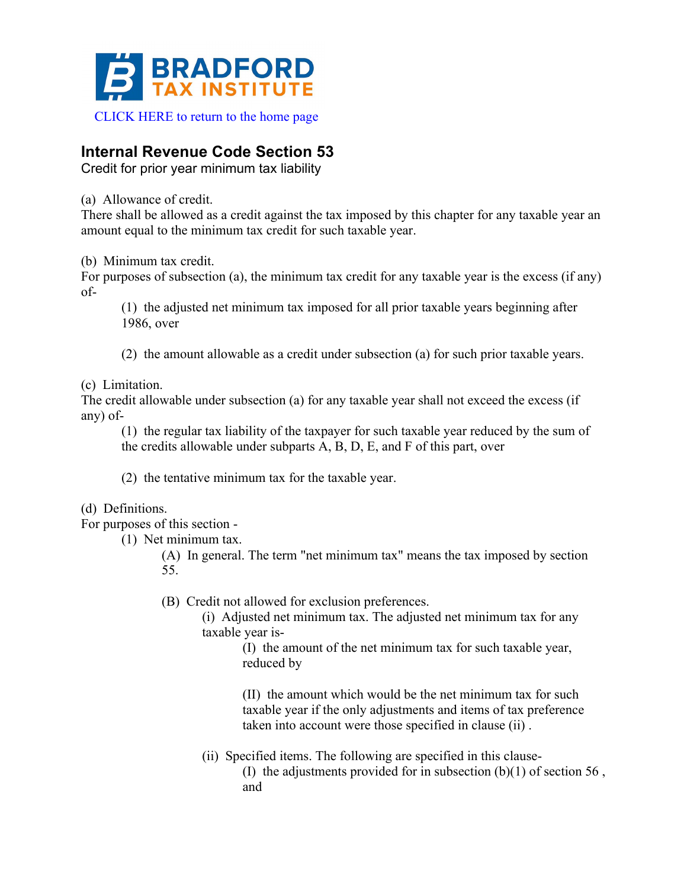

## **Internal Revenue Code Section 53**

Credit for prior year minimum tax liability

(a) Allowance of credit.

There shall be allowed as a credit against the tax imposed by this chapter for any taxable year an amount equal to the minimum tax credit for such taxable year.

(b) Minimum tax credit.

For purposes of subsection (a), the minimum tax credit for any taxable year is the excess (if any) of-

(1) the adjusted net minimum tax imposed for all prior taxable years beginning after 1986, over

(2) the amount allowable as a credit under subsection (a) for such prior taxable years.

(c) Limitation.

The credit allowable under subsection (a) for any taxable year shall not exceed the excess (if any) of-

(1) the regular tax liability of the taxpayer for such taxable year reduced by the sum of the credits allowable under subparts A, B, D, E, and F of this part, over

(2) the tentative minimum tax for the taxable year.

(d) Definitions.

For purposes of this section -

(1) Net minimum tax.

(A) In general. The term "net minimum tax" means the tax imposed by section 55.

(B) Credit not allowed for exclusion preferences.

(i) Adjusted net minimum tax. The adjusted net minimum tax for any taxable year is-

> (I) the amount of the net minimum tax for such taxable year, reduced by

(II) the amount which would be the net minimum tax for such taxable year if the only adjustments and items of tax preference taken into account were those specified in clause (ii) .

(ii) Specified items. The following are specified in this clause- (I) the adjustments provided for in subsection  $(b)(1)$  of section 56, and